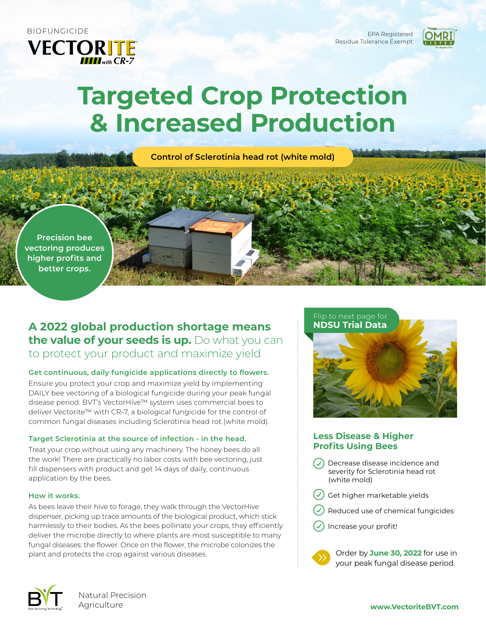**VECTORITE** 

Residue Tolerance Exempt



# **Targeted Crop Protection & Increased Production**

**Control of Sclerotinia head rot (white mold)**

**Precision bee vectoring produces higher profits and better crops.**

# **A 2022 global production shortage means the value of your seeds is up.** Do what you can to protect your product and maximize yield

## **Get continuous, daily fungicide applications directly to flowers.**

Ensure you protect your crop and maximize yield by implementing DAILY bee vectoring of a biological fungicide during your peak fungal disease period. BVT's VectorHive™ system uses commercial bees to deliver Vectorite™ with CR-7, a biological fungicide for the control of common fungal diseases including Sclerotinia head rot (white mold).

#### **Target Sclerotinia at the source of infection - in the head.**

Treat your crop without using any machinery. The honey bees do all the work! There are practically no labor costs with bee vectoring, just fill dispensers with product and get 14 days of daily, continuous application by the bees.

#### **How it works.**

As bees leave their hive to forage, they walk through the VectorHive dispenser, picking up trace amounts of the biological product, which stick harmlessly to their bodies. As the bees pollinate your crops, they efficiently deliver the microbe directly to where plants are most susceptible to many fungal diseases: the flower. Once on the flower, the microbe colonizes the plant and protects the crop against various diseases.



## **Less Disease & Higher Profits Using Bees**

- Decrease disease incidence and severity for Sclerotinia head rot (white mold)
- Get higher marketable yields
- Reduced use of chemical fungicides
- Increase your profit!



Order by **June 30, 2022** for use in your peak fungal disease period.



Natural Precision Agriculture